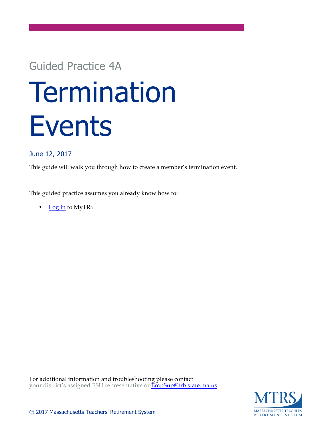# Guided Practice 4A

# **Termination** Events

## June 12, 2017

This guide will walk you through how to create a member's termination event.

This guided practice assumes you already know how to:

• Log in to MyTRS

For additional information and troubleshooting please contact your district's assigned ESU representative or  $\overline{\text{EmpSup}}$ @trb.state.ma.us

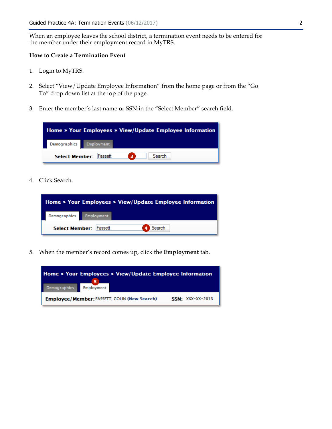When an employee leaves the school district, a termination event needs to be entered for the member under their employment record in MyTRS.

#### **How to Create a Termination Event**

- 1. Login to MyTRS.
- 2. Select "View/Update Employee Information" from the home page or from the "Go To" drop down list at the top of the page.
- 3. Enter the member's last name or SSN in the "Select Member" search field.



4. Click Search.



5. When the member's record comes up, click the **Employment** tab.

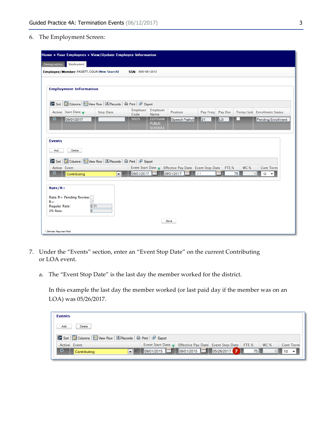6. The Employment Screen:

| Home » Your Employees » View/Update Employee Information                                                                                                                                                                                                                                      |                                                                                                                |  |  |  |  |  |  |  |
|-----------------------------------------------------------------------------------------------------------------------------------------------------------------------------------------------------------------------------------------------------------------------------------------------|----------------------------------------------------------------------------------------------------------------|--|--|--|--|--|--|--|
| Demographics<br>Employment                                                                                                                                                                                                                                                                    |                                                                                                                |  |  |  |  |  |  |  |
| Employee/Member: FASSETT, COLIN (New Search)<br><b>SSN: XXX-XX-2013</b>                                                                                                                                                                                                                       |                                                                                                                |  |  |  |  |  |  |  |
|                                                                                                                                                                                                                                                                                               |                                                                                                                |  |  |  |  |  |  |  |
| <b>Employment Information</b>                                                                                                                                                                                                                                                                 |                                                                                                                |  |  |  |  |  |  |  |
| By Sort   Columns   日 View Row   風 Records   曲 Print   配 Export                                                                                                                                                                                                                               |                                                                                                                |  |  |  |  |  |  |  |
| Active Start Date<br><b>Stop Date</b>                                                                                                                                                                                                                                                         | Employer<br>Employer<br>Position<br>Temp/Sub Enrollment Status<br>Pay Freq Pay Dur<br>Code<br>Name             |  |  |  |  |  |  |  |
| $\bullet$<br>09/01/2017                                                                                                                                                                                                                                                                       | 9005<br><b>GOTHAM</b><br>21<br>Speech Pathold<br>lLS.<br>Pending Enrollment<br><b>PUBLIC</b><br><b>SCHOOLS</b> |  |  |  |  |  |  |  |
| <b>Events</b><br>Add<br><b>Delete</b>                                                                                                                                                                                                                                                         |                                                                                                                |  |  |  |  |  |  |  |
| By Sort   Columns   Hall View Row   思 Records   A Print   P Export                                                                                                                                                                                                                            |                                                                                                                |  |  |  |  |  |  |  |
| Active Event                                                                                                                                                                                                                                                                                  | Event Start Date<br>Effective Pay Date Event Stop Date<br>FTE %<br><b>WC%</b><br><b>Cont Term</b>              |  |  |  |  |  |  |  |
|                                                                                                                                                                                                                                                                                               |                                                                                                                |  |  |  |  |  |  |  |
| 09/01/2017<br>$\bullet$<br>09/01/2017<br>75<br>l 1 1<br>$\circ$<br>$ 10\rangle$<br>$\mathbf{r}$ $\mathbf{r}$<br>Contributing<br>$Rate/R+$<br>Rate/R+ Pending Review:<br>$R + 1$<br>V<br>0.11<br><b>Regular Rate:</b><br>$\overline{0}$<br>2% Rate:<br><b>Save</b><br>* Denotes Required Field |                                                                                                                |  |  |  |  |  |  |  |

- 7. Under the "Events" section, enter an "Event Stop Date" on the current Contributing or LOA event.
	- a. The "Event Stop Date" is the last day the member worked for the district.

In this example the last day the member worked (or last paid day if the member was on an LOA) was 05/26/2017.

| <b>Events</b>                                                      |                            |                                          |  |       |      |                  |
|--------------------------------------------------------------------|----------------------------|------------------------------------------|--|-------|------|------------------|
| Add.<br><b>Delete</b>                                              |                            |                                          |  |       |      |                  |
| By Sort   Columns   Hall View Row   思 Records   A Print   @ Export |                            |                                          |  |       |      |                  |
| Active Event                                                       | Event Start Date $\bullet$ | Effective Pay Date Event Stop Date FTE % |  |       | WC % | <b>Cont Term</b> |
| $\bullet$<br>$\overline{\phantom{a}}$<br>Contributing              |                            | 09/01/2015   09/01/2015   05/26/2017   0 |  | 75 II |      | 10               |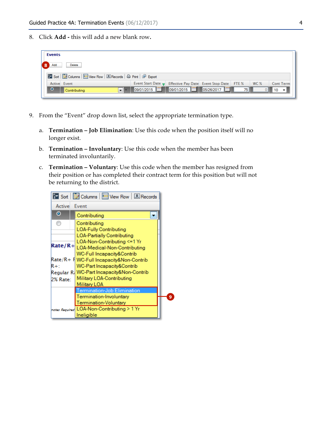8. Click **Add -** this will add a new blank row**.**

|                                               | <b>Events</b>                                                      |  |                                                           |  |      |                 |                  |
|-----------------------------------------------|--------------------------------------------------------------------|--|-----------------------------------------------------------|--|------|-----------------|------------------|
| $\left[\begin{array}{c} 8 \end{array}\right]$ | Add.<br>Delete                                                     |  |                                                           |  |      |                 |                  |
|                                               | By Sort   Columns   Hall View Row   思 Records   A Print   @ Export |  |                                                           |  |      |                 |                  |
|                                               | Active Event                                                       |  | Event Start Date Firective Pay Date Event Stop Date FTE % |  |      | WC <sub>%</sub> | <b>Cont Term</b> |
|                                               | $\bullet$<br>"ا – ا<br>Contributing                                |  |                                                           |  | 75 I |                 |                  |

- 9. From the "Event" drop down list, select the appropriate termination type.
	- a. **Termination – Job Elimination**: Use this code when the position itself will no longer exist.
	- b. **Termination – Involuntary**: Use this code when the member has been terminated involuntarily.
	- c. **Termination – Voluntary**: Use this code when the member has resigned from their position or has completed their contract term for this position but will not be returning to the district.

|                     | $\frac{3}{2}$ Sort $\frac{3}{2}$ Columns $\frac{1}{2}$ View Row $\frac{1}{2}$ Records                                                                                            |  |  |  |  |  |  |  |
|---------------------|----------------------------------------------------------------------------------------------------------------------------------------------------------------------------------|--|--|--|--|--|--|--|
| <b>Active Event</b> |                                                                                                                                                                                  |  |  |  |  |  |  |  |
| $\bullet$           | Contributing                                                                                                                                                                     |  |  |  |  |  |  |  |
| ⊙                   | Contributing<br>LOA-Fully Contributing<br><b>LOA-Partially Contributing</b><br>LOA-Non-Contributing <=1 Yr<br>Rate/R+ LOA-Medical-Non-Contributing<br>WC-Full Incapacity&Contrib |  |  |  |  |  |  |  |
| R+:<br>2% Rate:     | Rate/R+ f  WC-Full Incapacity&Non-Contrib<br>WC-Part Incapacity&Contrib<br>Regular R. WC-Part Incapacity&Non-Contrib<br>Military LOA-Contributing<br>Military LOA                |  |  |  |  |  |  |  |
|                     | Termination-Job Elimination<br>Termination-Involuntary<br>Termination-Voluntary<br>notes Required LOA-Non-Contributing > 1 Yr<br>Ineligible                                      |  |  |  |  |  |  |  |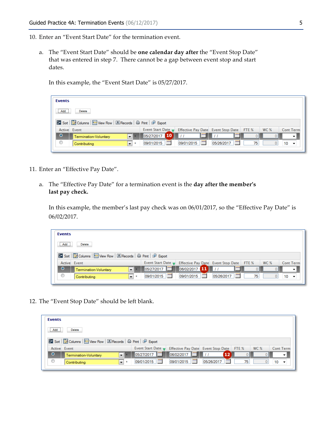- 10. Enter an "Event Start Date" for the termination event.
	- a. The "Event Start Date" should be **one calendar day after** the "Event Stop Date" that was entered in step 7. There cannot be a gap between event stop and start dates.

In this example, the "Event Start Date" is 05/27/2017.

| <b>Events</b>                                                             |                            |                                          |            |    |                 |                  |  |  |
|---------------------------------------------------------------------------|----------------------------|------------------------------------------|------------|----|-----------------|------------------|--|--|
| Add<br><b>Delete</b>                                                      |                            |                                          |            |    |                 |                  |  |  |
| By Sort   Columns   田 View Row   風 Records   曲 Print   配 Export           |                            |                                          |            |    |                 |                  |  |  |
| Active Event                                                              | Event Start Date $\bullet$ | Effective Pay Date Event Stop Date FTE % |            |    | WC <sub>%</sub> | <b>Cont Term</b> |  |  |
| 05/27/2017 10<br>$\bullet$<br>E<br>$\mathbf{r}$<br>Termination-Voluntary  |                            |                                          |            |    |                 |                  |  |  |
| ◉<br>$\overline{\phantom{a}}$<br>$\pmb{\hat{\mathbf{x}}}$<br>Contributing | <b>I</b> and<br>09/01/2015 | 09/01/2015                               | 05/26/2017 | 75 |                 | 10<br>۰          |  |  |
|                                                                           |                            |                                          |            |    |                 |                  |  |  |

- 11. Enter an "Effective Pay Date".
	- a. The "Effective Pay Date" for a termination event is the **day after the member's last pay check.**

In this example, the member's last pay check was on 06/01/2017, so the "Effective Pay Date" is 06/02/2017.

| <b>Events</b>                                                      |                            |                                          |                 |    |      |                  |  |  |
|--------------------------------------------------------------------|----------------------------|------------------------------------------|-----------------|----|------|------------------|--|--|
| <b>Add</b><br>Delete.                                              |                            |                                          |                 |    |      |                  |  |  |
| By Sort   Columns   Hall View Row   思 Records   A Print   @ Export |                            |                                          |                 |    |      |                  |  |  |
| Active Event                                                       | Event Start Date $\bullet$ | Effective Pay Date Event Stop Date FTE % |                 |    | WC % | <b>Cont Term</b> |  |  |
| $\bullet$<br>Termination-Voluntary                                 | 05/27/2017                 | 06/02/2017 11                            | E               |    |      |                  |  |  |
| ⊙<br>$\cdot$<br>$\hat{\mathbf{x}}$<br>Contributing                 | 09/01/2015                 | 09/01/2015                               | m<br>05/26/2017 | 75 |      | 10               |  |  |

12. The "Event Stop Date" should be left blank.

| <b>Events</b>                                                 |                                                                    |                                          |                 |    |             |                  |  |  |
|---------------------------------------------------------------|--------------------------------------------------------------------|------------------------------------------|-----------------|----|-------------|------------------|--|--|
| Add<br>Delete.                                                |                                                                    |                                          |                 |    |             |                  |  |  |
|                                                               | By Sort   Columns   Hall View Row   思 Records   A Print   @ Export |                                          |                 |    |             |                  |  |  |
| Active Event                                                  | Event Start Date $\bullet$                                         | Effective Pay Date Event Stop Date FTE % |                 |    | <b>WC %</b> | <b>Cont Term</b> |  |  |
| $\bullet$<br>$\blacksquare$<br>Termination-Voluntary          | 05/27/2017                                                         | $\frac{1}{106/02/2017}$ = $11$           | $\sqrt{12}$     | υ  |             |                  |  |  |
| ◉<br>$\overline{\phantom{a}}$<br>$\mathbf{x}$<br>Contributing | 09/01/2015                                                         | 09/01/2015                               | m<br>05/26/2017 | 75 |             | 10               |  |  |